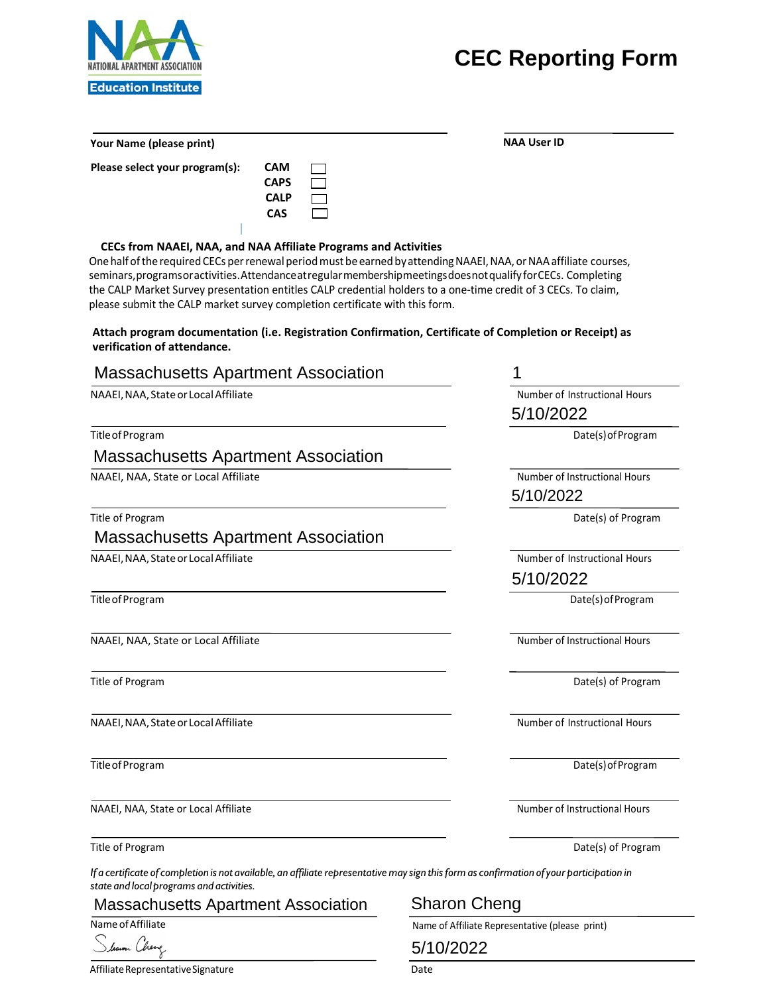# **CEC Reporting Form**



**Your Name (please print) NAA User ID**

**Please select your program(s):** 

| CAM  |  |
|------|--|
| CAPS |  |
| CALP |  |
| CAS  |  |
|      |  |

**CECs from NAAEI, NAA, and NAA Affiliate Programs and Activities** 

One half of the required CECs per renewal period must be earned by attending NAAEI, NAA, or NAA affiliate courses, seminars,programsoractivities. Attendanceatregularmembershipmeetingsdoesnotqualify forCECs. Completing the CALP Market Survey presentation entitles CALP credential holders to a one-time credit of 3 CECs. To claim, please submit the CALP market survey completion certificate with this form.

## **Attach program documentation (i.e. Registration Confirmation, Certificate of Completion or Receipt) as verification of attendance.**

| <b>Massachusetts Apartment Association</b> |                               |
|--------------------------------------------|-------------------------------|
| NAAEI, NAA, State or Local Affiliate       | Number of Instructional Hours |
|                                            | 5/10/2022                     |
| Title of Program                           | Date(s) of Program            |
| <b>Massachusetts Apartment Association</b> |                               |
| NAAEI, NAA, State or Local Affiliate       | Number of Instructional Hours |
|                                            | 5/10/2022                     |
| Title of Program                           | Date(s) of Program            |
| <b>Massachusetts Apartment Association</b> |                               |
| NAAEI, NAA, State or Local Affiliate       | Number of Instructional Hours |
|                                            | 5/10/2022                     |
| Title of Program                           | Date(s) of Program            |
| NAAEI, NAA, State or Local Affiliate       | Number of Instructional Hours |
| Title of Program                           | Date(s) of Program            |
| NAAEI, NAA, State or Local Affiliate       | Number of Instructional Hours |
| Title of Program                           | Date(s) of Program            |
| NAAEI, NAA, State or Local Affiliate       | Number of Instructional Hours |
| Title of Program                           | Date(s) of Program            |
| $\sim$ $\sim$ $\sim$                       |                               |

If a certificate of completion is not available, an affiliate representative may sign this form as confirmation of your participation in *state and local programs and activities.*

Massachusetts Apartment Association Sharon Cheng

Slown Cheng

Name of Affiliate Name of Affiliate Representative (please print)

5/10/2022

Affiliate Representative Signature data and the Date Date